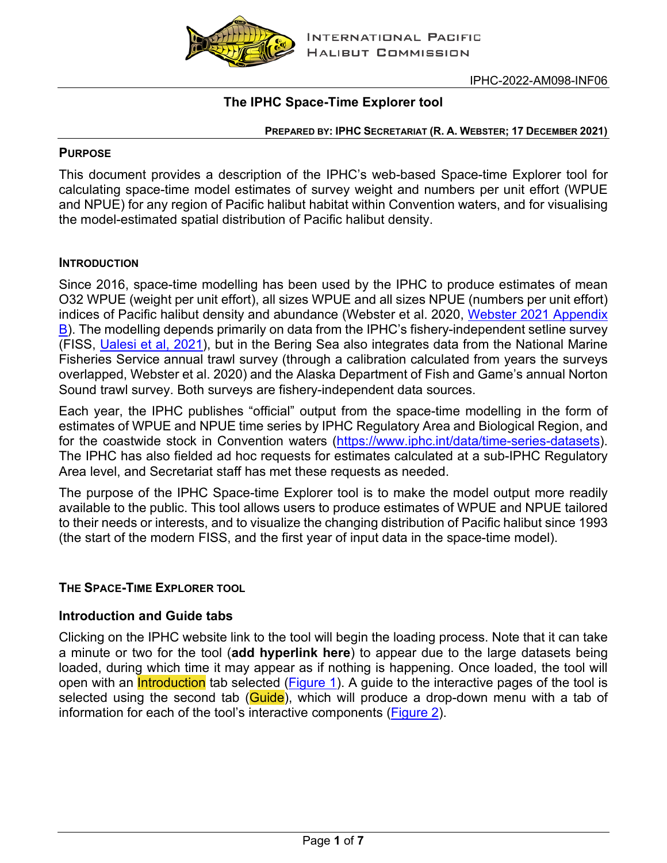

# **The IPHC Space-Time Explorer tool**

#### **PREPARED BY: IPHC SECRETARIAT (R. A. WEBSTER; 17 DECEMBER 2021)**

#### **PURPOSE**

This document provides a description of the IPHC's web-based Space-time Explorer tool for calculating space-time model estimates of survey weight and numbers per unit effort (WPUE and NPUE) for any region of Pacific halibut habitat within Convention waters, and for visualising the model-estimated spatial distribution of Pacific halibut density.

### **INTRODUCTION**

Since 2016, space-time modelling has been used by the IPHC to produce estimates of mean O32 WPUE (weight per unit effort), all sizes WPUE and all sizes NPUE (numbers per unit effort) indices of Pacific halibut density and abundance (Webster et al. 2020, [Webster 2021 Appendix](https://www.iphc.int/uploads/pdf/srb/srb018/iphc-2021-srb018-05.pdf)  [B\)](https://www.iphc.int/uploads/pdf/srb/srb018/iphc-2021-srb018-05.pdf). The modelling depends primarily on data from the IPHC's fishery-independent setline survey (FISS, [Ualesi et al, 2021\)](https://www.iphc.int/uploads/pdf/am/am098/iphc-2022-am098-07.pdf), but in the Bering Sea also integrates data from the National Marine Fisheries Service annual trawl survey (through a calibration calculated from years the surveys overlapped, Webster et al. 2020) and the Alaska Department of Fish and Game's annual Norton Sound trawl survey. Both surveys are fishery-independent data sources.

Each year, the IPHC publishes "official" output from the space-time modelling in the form of estimates of WPUE and NPUE time series by IPHC Regulatory Area and Biological Region, and for the coastwide stock in Convention waters [\(https://www.iphc.int/data/time-series-datasets\)](https://www.iphc.int/data/time-series-datasets). The IPHC has also fielded ad hoc requests for estimates calculated at a sub-IPHC Regulatory Area level, and Secretariat staff has met these requests as needed.

The purpose of the IPHC Space-time Explorer tool is to make the model output more readily available to the public. This tool allows users to produce estimates of WPUE and NPUE tailored to their needs or interests, and to visualize the changing distribution of Pacific halibut since 1993 (the start of the modern FISS, and the first year of input data in the space-time model).

## **THE SPACE-TIME EXPLORER TOOL**

## **Introduction and Guide tabs**

Clicking on the IPHC website link to the tool will begin the loading process. Note that it can take a minute or two for the tool (**add hyperlink here**) to appear due to the large datasets being loaded, during which time it may appear as if nothing is happening. Once loaded, the tool will open with an *Introduction* tab selected [\(Figure 1\)](#page-1-0). A guide to the interactive pages of the tool is selected using the second tab (Guide), which will produce a drop-down menu with a tab of information for each of the tool's interactive components [\(Figure 2\)](#page-1-1).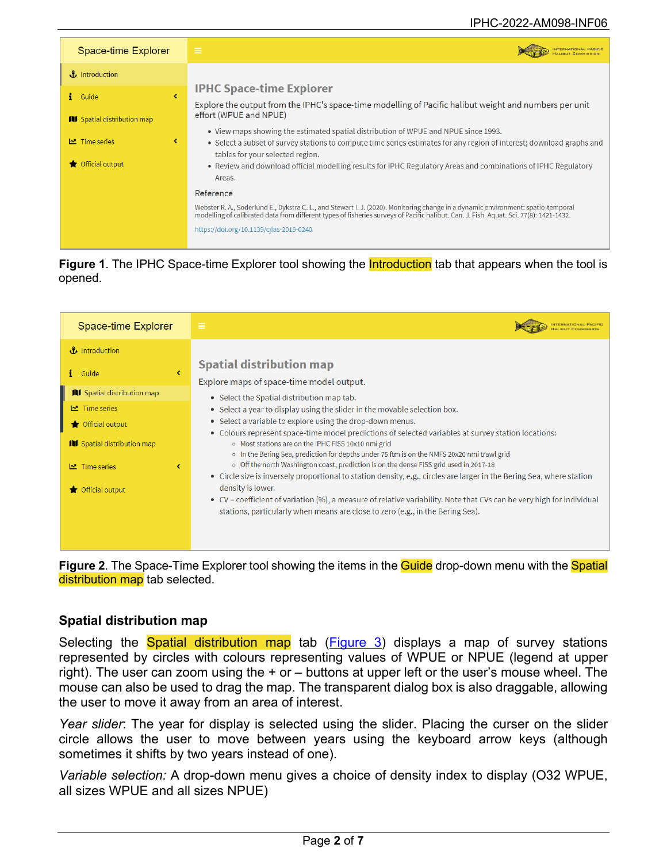<span id="page-1-0"></span>

| Space-time Explorer                                  | $\equiv$                                                                                                                                                                                                                                                                                                                                                                     |
|------------------------------------------------------|------------------------------------------------------------------------------------------------------------------------------------------------------------------------------------------------------------------------------------------------------------------------------------------------------------------------------------------------------------------------------|
| $\mathbf{f}$ Introduction                            |                                                                                                                                                                                                                                                                                                                                                                              |
| k.<br>Guide<br><b>III</b> Spatial distribution map   | <b>IPHC Space-time Explorer</b><br>Explore the output from the IPHC's space-time modelling of Pacific halibut weight and numbers per unit<br>effort (WPUE and NPUE)                                                                                                                                                                                                          |
| $\triangleright$ Time series<br>∢<br>Official output | • View maps showing the estimated spatial distribution of WPUE and NPUE since 1993.<br>• Select a subset of survey stations to compute time series estimates for any region of interest; download graphs and<br>tables for your selected region.<br>• Review and download official modelling results for IPHC Regulatory Areas and combinations of IPHC Regulatory<br>Areas. |
|                                                      | Reference<br>Webster R. A., Soderlund E., Dykstra C. L., and Stewart I. J. (2020). Monitoring change in a dynamic environment: spatio-temporal<br>modelling of calibrated data from different types of fisheries surveys of Pacific halibut. Can. J. Fish. Aquat. Sci. 77(8): 1421-1432.<br>https://doi.org/10.1139/cjfas-2019-0240                                          |



<span id="page-1-1"></span>



#### **Spatial distribution map**

Selecting the **Spatial distribution map** tab [\(Figure 3\)](#page-2-0) displays a map of survey stations represented by circles with colours representing values of WPUE or NPUE (legend at upper right). The user can zoom using the + or – buttons at upper left or the user's mouse wheel. The mouse can also be used to drag the map. The transparent dialog box is also draggable, allowing the user to move it away from an area of interest.

*Year slider*: The year for display is selected using the slider. Placing the curser on the slider circle allows the user to move between years using the keyboard arrow keys (although sometimes it shifts by two years instead of one).

*Variable selection:* A drop-down menu gives a choice of density index to display (O32 WPUE, all sizes WPUE and all sizes NPUE)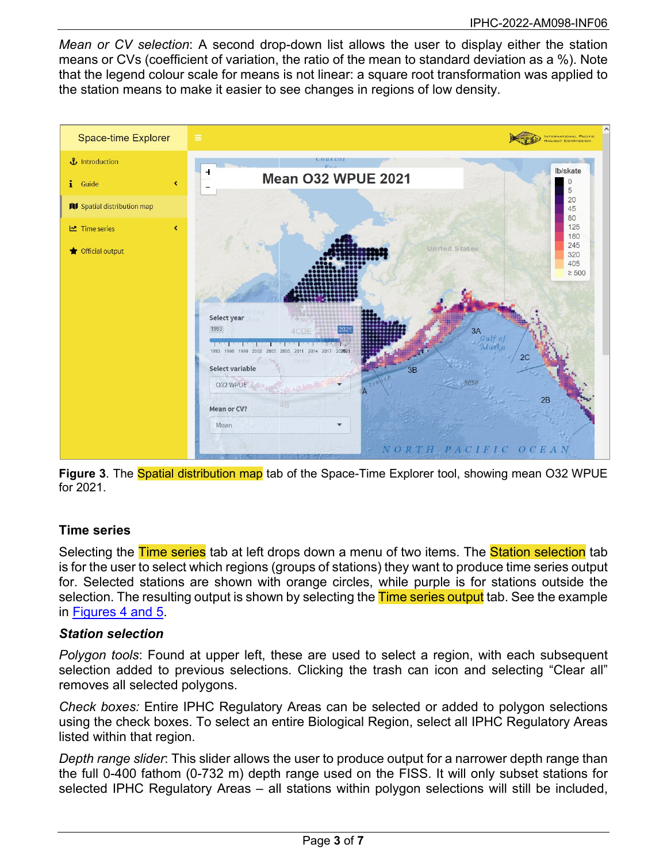*Mean or CV selection*: A second drop-down list allows the user to display either the station means or CVs (coefficient of variation, the ratio of the mean to standard deviation as a %). Note that the legend colour scale for means is not linear: a square root transformation was applied to the station means to make it easier to see changes in regions of low density.

<span id="page-2-0"></span>

**Figure 3.** The **Spatial distribution map** tab of the Space-Time Explorer tool, showing mean O32 WPUE for 2021.

#### **Time series**

Selecting the Time series tab at left drops down a menu of two items. The Station selection tab is for the user to select which regions (groups of stations) they want to produce time series output for. Selected stations are shown with orange circles, while purple is for stations outside the selection. The resulting output is shown by selecting the Time series output tab. See the example in [Figures 4 and 5.](#page-4-0)

#### *Station selection*

*Polygon tools*: Found at upper left, these are used to select a region, with each subsequent selection added to previous selections. Clicking the trash can icon and selecting "Clear all" removes all selected polygons.

*Check boxes:* Entire IPHC Regulatory Areas can be selected or added to polygon selections using the check boxes. To select an entire Biological Region, select all IPHC Regulatory Areas listed within that region.

*Depth range slider*: This slider allows the user to produce output for a narrower depth range than the full 0-400 fathom (0-732 m) depth range used on the FISS. It will only subset stations for selected IPHC Regulatory Areas – all stations within polygon selections will still be included,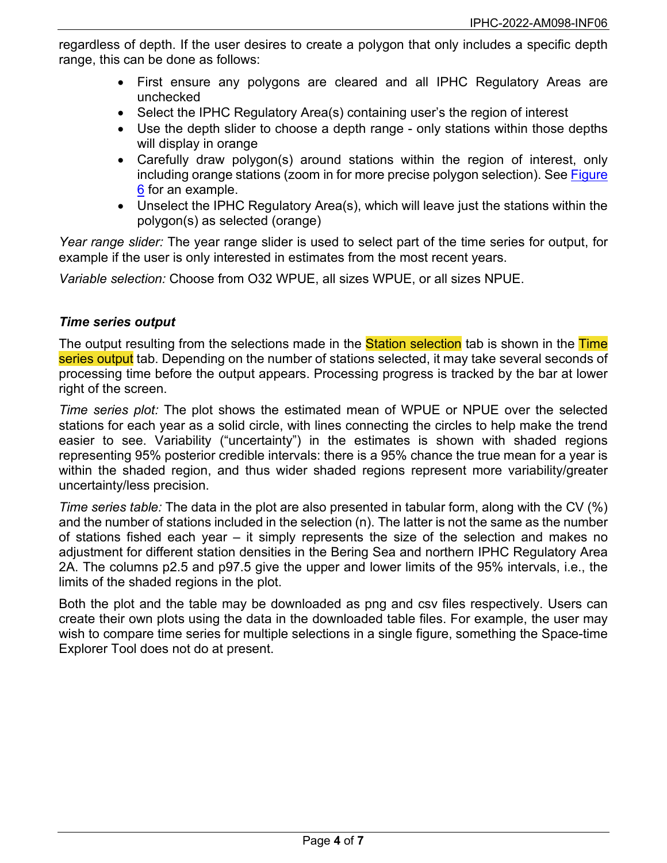regardless of depth. If the user desires to create a polygon that only includes a specific depth range, this can be done as follows:

- First ensure any polygons are cleared and all IPHC Regulatory Areas are unchecked
- Select the IPHC Regulatory Area(s) containing user's the region of interest
- Use the depth slider to choose a depth range only stations within those depths will display in orange
- Carefully draw polygon(s) around stations within the region of interest, only including orange stations (zoom in for more precise polygon selection). See Figure [6](#page-5-0) for an example.
- Unselect the IPHC Regulatory Area(s), which will leave just the stations within the polygon(s) as selected (orange)

*Year range slider:* The year range slider is used to select part of the time series for output, for example if the user is only interested in estimates from the most recent years.

*Variable selection:* Choose from O32 WPUE, all sizes WPUE, or all sizes NPUE.

#### *Time series output*

The output resulting from the selections made in the **Station selection** tab is shown in the Time series output tab. Depending on the number of stations selected, it may take several seconds of processing time before the output appears. Processing progress is tracked by the bar at lower right of the screen.

*Time series plot:* The plot shows the estimated mean of WPUE or NPUE over the selected stations for each year as a solid circle, with lines connecting the circles to help make the trend easier to see. Variability ("uncertainty") in the estimates is shown with shaded regions representing 95% posterior credible intervals: there is a 95% chance the true mean for a year is within the shaded region, and thus wider shaded regions represent more variability/greater uncertainty/less precision.

*Time series table:* The data in the plot are also presented in tabular form, along with the CV (%) and the number of stations included in the selection (n). The latter is not the same as the number of stations fished each year – it simply represents the size of the selection and makes no adjustment for different station densities in the Bering Sea and northern IPHC Regulatory Area 2A. The columns p2.5 and p97.5 give the upper and lower limits of the 95% intervals, i.e., the limits of the shaded regions in the plot.

Both the plot and the table may be downloaded as png and csv files respectively. Users can create their own plots using the data in the downloaded table files. For example, the user may wish to compare time series for multiple selections in a single figure, something the Space-time Explorer Tool does not do at present.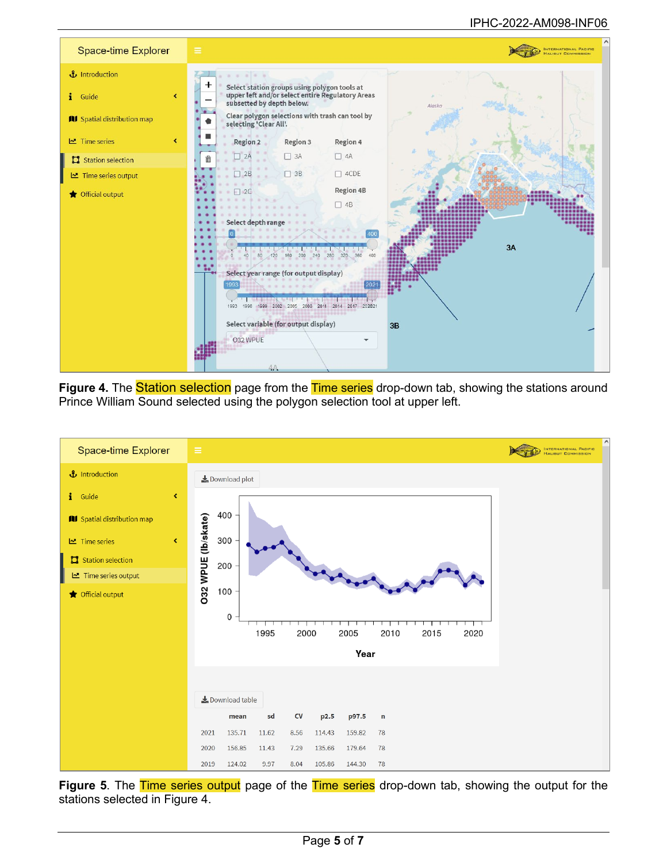#### IPHC-2022-AM098-INF06

<span id="page-4-0"></span>

Figure 4. The **Station selection** page from the Time series drop-down tab, showing the stations around Prince William Sound selected using the polygon selection tool at upper left.



**Figure 5**. The Time series output page of the Time series drop-down tab, showing the output for the stations selected in Figure 4.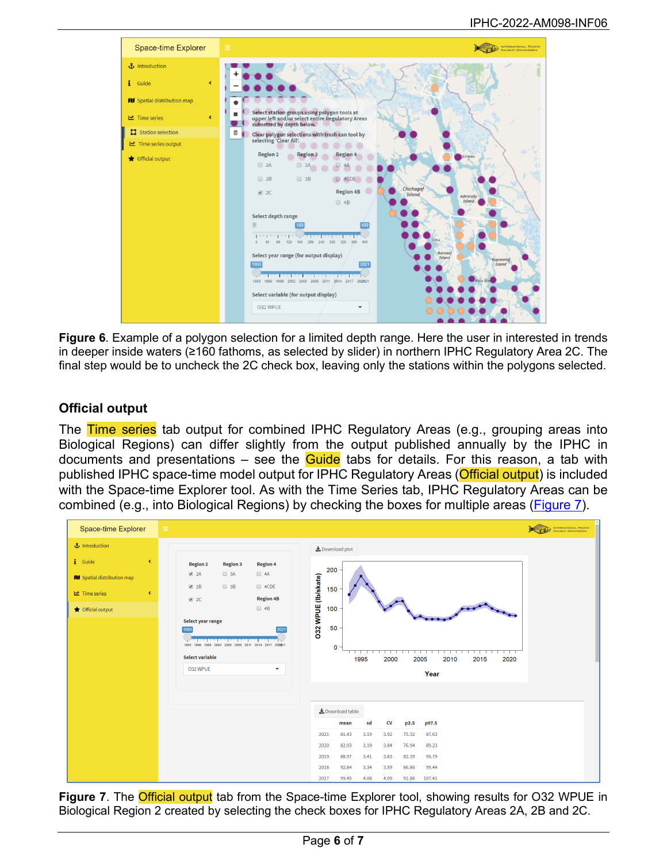<span id="page-5-0"></span>

**Figure 6**. Example of a polygon selection for a limited depth range. Here the user in interested in trends in deeper inside waters (≥160 fathoms, as selected by slider) in northern IPHC Regulatory Area 2C. The final step would be to uncheck the 2C check box, leaving only the stations within the polygons selected.

### **Official output**

The Time series tab output for combined IPHC Regulatory Areas (e.g., grouping areas into Biological Regions) can differ slightly from the output published annually by the IPHC in documents and presentations  $-$  see the **Guide** tabs for details. For this reason, a tab with published IPHC space-time model output for IPHC Regulatory Areas (Official output) is included with the Space-time Explorer tool. As with the Time Series tab, IPHC Regulatory Areas can be combined (e.g., into Biological Regions) by checking the boxes for multiple areas [\(Figure 7\)](#page-5-1).

<span id="page-5-1"></span>

**Figure 7.** The **Official output** tab from the Space-time Explorer tool, showing results for O32 WPUE in Biological Region 2 created by selecting the check boxes for IPHC Regulatory Areas 2A, 2B and 2C.